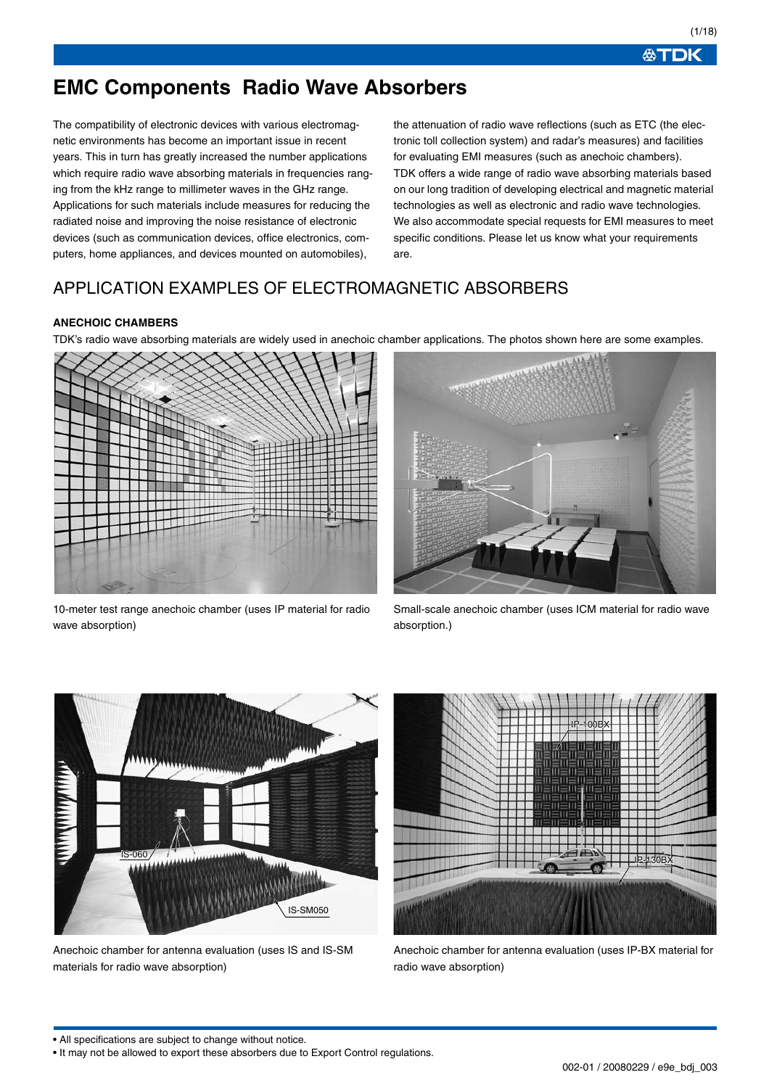必TDK

# **EMC Components Radio Wave Absorbers**

The compatibility of electronic devices with various electromagnetic environments has become an important issue in recent years. This in turn has greatly increased the number applications which require radio wave absorbing materials in frequencies ranging from the kHz range to millimeter waves in the GHz range. Applications for such materials include measures for reducing the radiated noise and improving the noise resistance of electronic devices (such as communication devices, office electronics, computers, home appliances, and devices mounted on automobiles),

the attenuation of radio wave reflections (such as ETC (the electronic toll collection system) and radar's measures) and facilities for evaluating EMI measures (such as anechoic chambers). TDK offers a wide range of radio wave absorbing materials based on our long tradition of developing electrical and magnetic material technologies as well as electronic and radio wave technologies. We also accommodate special requests for EMI measures to meet specific conditions. Please let us know what your requirements are.

# APPLICATION EXAMPLES OF ELECTROMAGNETIC ABSORBERS

## **ANECHOIC CHAMBERS**

TDK's radio wave absorbing materials are widely used in anechoic chamber applications. The photos shown here are some examples.



10-meter test range anechoic chamber (uses IP material for radio wave absorption)



Small-scale anechoic chamber (uses ICM material for radio wave absorption.)



Anechoic chamber for antenna evaluation (uses IS and IS-SM materials for radio wave absorption)



Anechoic chamber for antenna evaluation (uses IP-BX material for radio wave absorption)

<sup>•</sup> It may not be allowed to export these absorbers due to Export Control regulations.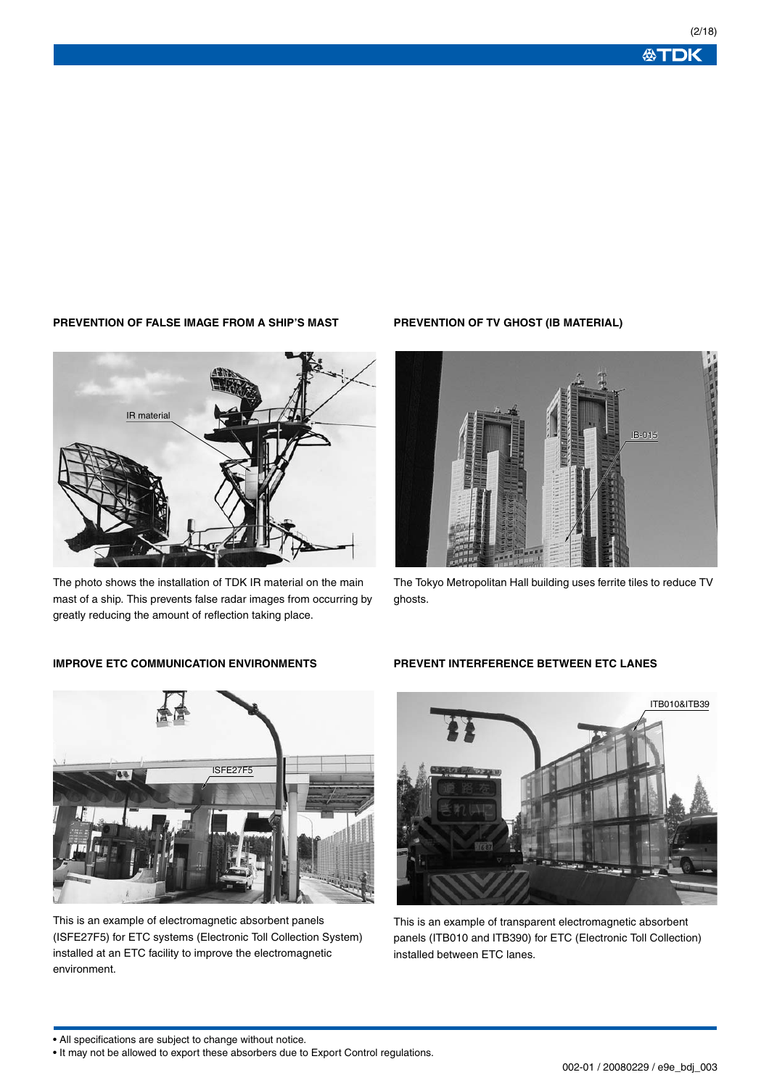### **PREVENTION OF FALSE IMAGE FROM A SHIP'S MAST**

IR material



## **IMPROVE ETC COMMUNICATION ENVIRONMENTS**



This is an example of electromagnetic absorbent panels (ISFE27F5) for ETC systems (Electronic Toll Collection System) installed at an ETC facility to improve the electromagnetic environment.

### **PREVENTION OF TV GHOST (IB MATERIAL)**



The Tokyo Metropolitan Hall building uses ferrite tiles to reduce TV ghosts.

### **PREVENT INTERFERENCE BETWEEN ETC LANES**



This is an example of transparent electromagnetic absorbent panels (ITB010 and ITB390) for ETC (Electronic Toll Collection) installed between ETC lanes.

<sup>•</sup> It may not be allowed to export these absorbers due to Export Control regulations.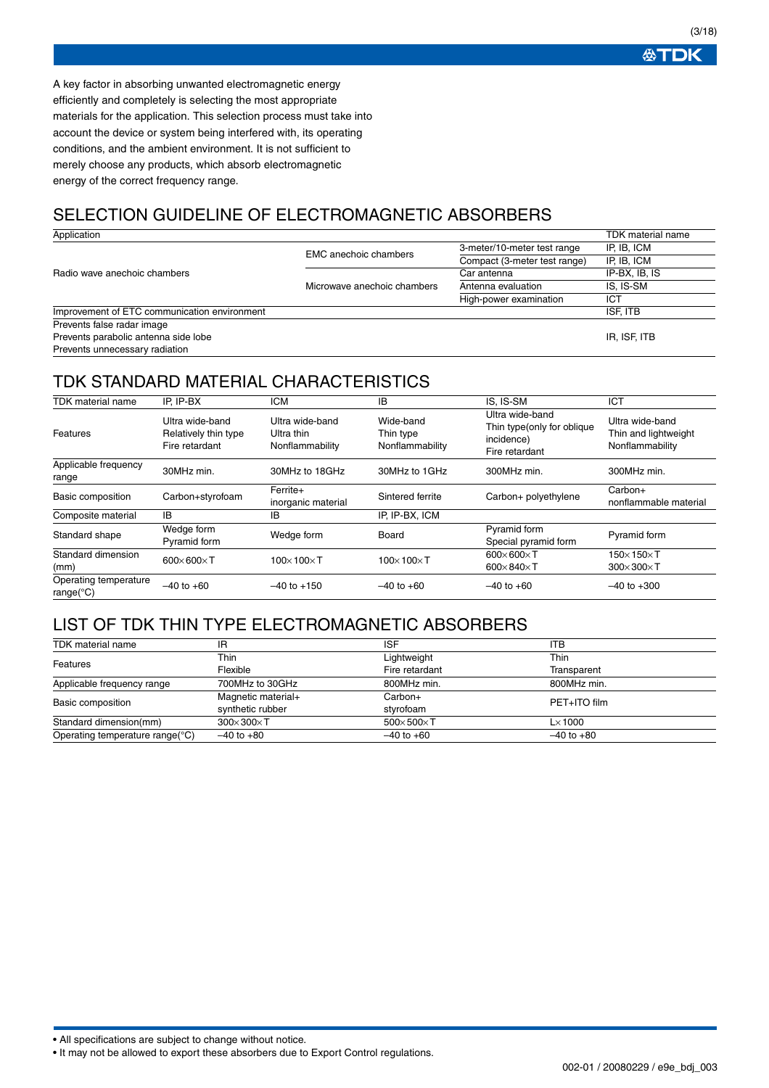**公丁DK** 

(3/18)

A key factor in absorbing unwanted electromagnetic energy efficiently and completely is selecting the most appropriate materials for the application. This selection process must take into account the device or system being interfered with, its operating conditions, and the ambient environment. It is not sufficient to merely choose any products, which absorb electromagnetic energy of the correct frequency range.

# SELECTION GUIDELINE OF ELECTROMAGNETIC ABSORBERS

| Application                                  |                              |                              | TDK material name |
|----------------------------------------------|------------------------------|------------------------------|-------------------|
|                                              | <b>EMC</b> anechoic chambers | 3-meter/10-meter test range  | IP, IB, ICM       |
|                                              |                              | Compact (3-meter test range) | IP, IB, ICM       |
| Radio wave anechoic chambers                 |                              | Car antenna                  | IP-BX, IB, IS     |
|                                              | Microwave anechoic chambers  | Antenna evaluation           | IS. IS-SM         |
|                                              |                              | High-power examination       | ICT               |
| Improvement of ETC communication environment |                              |                              | <b>ISF. ITB</b>   |
| Prevents false radar image                   |                              |                              |                   |
| Prevents parabolic antenna side lobe         |                              |                              | IR, ISF, ITB      |
| Prevents unnecessary radiation               |                              |                              |                   |

# TDK STANDARD MATERIAL CHARACTERISTICS

| TDK material name                                      | IP. IP-BX                                                 | <b>ICM</b>                                       | IB                                        | IS, IS-SM                                                                      | ICT                                                        |
|--------------------------------------------------------|-----------------------------------------------------------|--------------------------------------------------|-------------------------------------------|--------------------------------------------------------------------------------|------------------------------------------------------------|
| Features                                               | Ultra wide-band<br>Relatively thin type<br>Fire retardant | Ultra wide-band<br>Ultra thin<br>Nonflammability | Wide-band<br>Thin type<br>Nonflammability | Ultra wide-band<br>Thin type (only for oblique<br>incidence)<br>Fire retardant | Ultra wide-band<br>Thin and lightweight<br>Nonflammability |
| Applicable frequency<br>range                          | 30MHz min.                                                | 30MHz to 18GHz                                   | 30MHz to 1GHz                             | 300MHz min.                                                                    | 300MHz min.                                                |
| Basic composition                                      | Carbon+styrofoam                                          | Ferrite+<br>inorganic material                   | Sintered ferrite                          | Carbon+ polyethylene                                                           | $Carbon+$<br>nonflammable material                         |
| Composite material                                     | IB                                                        | IB                                               | IP. IP-BX. ICM                            |                                                                                |                                                            |
| Standard shape                                         | Wedge form<br>Pyramid form                                | Wedge form                                       | Board                                     | Pyramid form<br>Special pyramid form                                           | Pyramid form                                               |
| Standard dimension<br>(mm)                             | $600\times 600\times T$                                   | $100\times100\times T$                           | $100\times100\times T$                    | $600 \times 600 \times T$<br>600 $\times$ 840 $\times$ T                       | $150\times150\times$ T<br>$300\times300\times7$            |
| Operating temperature<br>range( $\mathrm{^{\circ}C}$ ) | $-40$ to $+60$                                            | $-40$ to $+150$                                  | $-40$ to $+60$                            | $-40$ to $+60$                                                                 | $-40$ to $+300$                                            |

## LIST OF TDK THIN TYPE ELECTROMAGNETIC ABSORBERS

| <b>TDK</b> material name        | IR                        | <b>ISF</b>              | <b>ITB</b>      |
|---------------------------------|---------------------------|-------------------------|-----------------|
| Features                        | Thin                      | Lightweight             | Thin            |
|                                 | Flexible                  | Fire retardant          | Transparent     |
| Applicable frequency range      | 700MHz to 30GHz           | 800MHz min.             | 800MHz min.     |
| Basic composition               | Magnetic material+        | Carbon+                 | PET+ITO film    |
|                                 | synthetic rubber          | styrofoam               |                 |
| Standard dimension(mm)          | $300 \times 300 \times T$ | $500\times 500\times T$ | $L \times 1000$ |
| Operating temperature range(°C) | $-40$ to $+80$            | $-40$ to $+60$          | $-40$ to $+80$  |

• All specifications are subject to change without notice.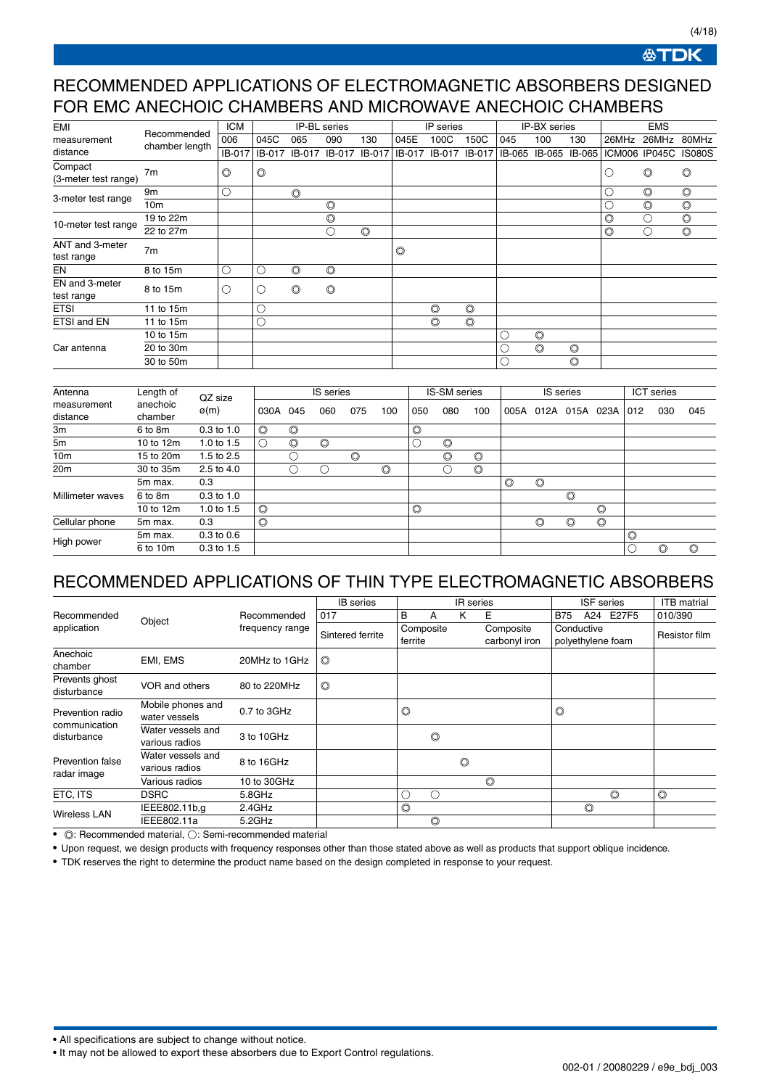**公丁DK** 

(4/18)

## RECOMMENDED APPLICATIONS OF ELECTROMAGNETIC ABSORBERS DESIGNED FOR EMC ANECHOIC CHAMBERS AND MICROWAVE ANECHOIC CHAMBERS

| EMI                             |                 | <b>ICM</b>     |                |                | IP-BL series   |                |                | IP series      |                |        | IP-BX series   |                | <b>EMS</b>     |                |                |
|---------------------------------|-----------------|----------------|----------------|----------------|----------------|----------------|----------------|----------------|----------------|--------|----------------|----------------|----------------|----------------|----------------|
| measurement                     | Recommended     | 006            | 045C           | 065            | 090            | 130            | 045E           | 100C           | 150C           | 045    | 100            | 130            | 26MHz          | 26MHz          | 80MHz          |
| distance                        | chamber length  | IB-017         | IB-017         | IB-017         | IB-017         | IB-017         | IB-017         | IB-017         | IB-017         | IB-065 |                | IB-065 IB-065  |                | ICM006 IP045C  | <b>IS080S</b>  |
| Compact<br>(3-meter test range) | 7m              | $\circledcirc$ | $\circledcirc$ |                |                |                |                |                |                |        |                |                | O              | $\circledcirc$ | $\circledcirc$ |
| 3-meter test range              | 9m              | С              |                | $\circledcirc$ |                |                |                |                |                |        |                |                | С              | $\circledcirc$ | $\circledcirc$ |
|                                 | 10 <sub>m</sub> |                |                |                | $\circledcirc$ |                |                |                |                |        |                |                | C              | $\circledcirc$ | $\circledcirc$ |
| 10-meter test range             | 19 to 22m       |                |                |                | $\circledcirc$ |                |                |                |                |        |                |                | $\circledcirc$ | ()             | $\circledcirc$ |
|                                 | 22 to 27m       |                |                |                |                | $\circledcirc$ |                |                |                |        |                |                | $\circledcirc$ |                | $\circledcirc$ |
| ANT and 3-meter<br>test range   | 7 <sub>m</sub>  |                |                |                |                |                | $\circledcirc$ |                |                |        |                |                |                |                |                |
| EN                              | 8 to 15m        | О              | U              | $\circledcirc$ | $\circledcirc$ |                |                |                |                |        |                |                |                |                |                |
| EN and 3-meter<br>test range    | 8 to 15m        | O              | $\mathcal{L}$  | $\circledcirc$ | $\circledcirc$ |                |                |                |                |        |                |                |                |                |                |
| <b>ETSI</b>                     | 11 to 15m       |                |                |                |                |                |                | $\circledcirc$ | $\circledcirc$ |        |                |                |                |                |                |
| ETSI and EN                     | 11 to 15m       |                | U,             |                |                |                |                | $\circledcirc$ | $\circledcirc$ |        |                |                |                |                |                |
|                                 | 10 to 15m       |                |                |                |                |                |                |                |                | O.     | $\circledcirc$ |                |                |                |                |
| Car antenna                     | 20 to 30m       |                |                |                |                |                |                |                |                | U      | $\circledcirc$ | $\circledcirc$ |                |                |                |
|                                 | 30 to 50m       |                |                |                |                |                |                |                |                | C      |                | $\circledcirc$ |                |                |                |

| Antenna                 | Length of<br>QZ size |                |                | IS series      |                |                | <b>IS-SM</b> series |                | IS series      |                |                | ICT series     |                |                |                |     |                |
|-------------------------|----------------------|----------------|----------------|----------------|----------------|----------------|---------------------|----------------|----------------|----------------|----------------|----------------|----------------|----------------|----------------|-----|----------------|
| measurement<br>distance | anechoic<br>chamber  | $\varphi(m)$   | 030A           | 045            | 060            | 075            | 100                 | 050            | 080            | 100            | 005A           | 012A           | 015A           | 023A           | 012            | 030 | 045            |
| 3m                      | 6 to 8m              | $0.3$ to $1.0$ | $\circledcirc$ | $\circledcirc$ |                |                |                     | $\circledcirc$ |                |                |                |                |                |                |                |     |                |
| 5m                      | 10 to 12m            | 1.0 to $1.5$   |                | $\circledcirc$ | $\circledcirc$ |                |                     |                | $\circledcirc$ |                |                |                |                |                |                |     |                |
| 10 <sub>m</sub>         | 15 to 20m            | 1.5 to 2.5     |                |                |                | $\circledcirc$ |                     |                | $\circledcirc$ | $\circledcirc$ |                |                |                |                |                |     |                |
| 20m                     | 30 to 35m            | 2.5 to 4.0     |                |                | €              |                | $\circledcirc$      |                |                | $\circledcirc$ |                |                |                |                |                |     |                |
|                         | 5m max.              | 0.3            |                |                |                |                |                     |                |                |                | $\circledcirc$ | $\circledcirc$ |                |                |                |     |                |
| Millimeter waves        | 6 to 8m              | $0.3$ to $1.0$ |                |                |                |                |                     |                |                |                |                |                | $\circledcirc$ |                |                |     |                |
|                         | 10 to 12m            | 1.0 to $1.5$   | $\circledcirc$ |                |                |                |                     | $\circledcirc$ |                |                |                |                |                | $\circledcirc$ |                |     |                |
| Cellular phone          | 5m max.              | 0.3            | $\circledcirc$ |                |                |                |                     |                |                |                |                | $\circledcirc$ | $\circledcirc$ | $\circledcirc$ |                |     |                |
| High power              | 5m max.              | $0.3$ to $0.6$ |                |                |                |                |                     |                |                |                |                |                |                |                | $\circledcirc$ |     |                |
|                         | 6 to 10m             | $0.3$ to $1.5$ |                |                |                |                |                     |                |                |                |                |                |                |                |                | O   | $\circledcirc$ |

# RECOMMENDED APPLICATIONS OF THIN TYPE ELECTROMAGNETIC ABSORBERS

|                                        |                                     |                 | <b>IB</b> series |                |                | IR series      |                            |                                 | <b>ISF</b> series |                | <b>ITB</b> matrial |
|----------------------------------------|-------------------------------------|-----------------|------------------|----------------|----------------|----------------|----------------------------|---------------------------------|-------------------|----------------|--------------------|
| Recommended                            | Object                              | Recommended     | 017              | B              | A              | ĸ              | Е                          | <b>B75</b>                      |                   | A24 E27F5      | 010/390            |
| application                            |                                     | frequency range | Sintered ferrite | ferrite        | Composite      |                | Composite<br>carbonyl iron | Conductive<br>polyethylene foam |                   | Resistor film  |                    |
| Anechoic<br>chamber                    | EMI, EMS                            | 20MHz to 1GHz   | $\circledcirc$   |                |                |                |                            |                                 |                   |                |                    |
| Prevents ghost<br>disturbance          | VOR and others                      | 80 to 220MHz    | $\circledcirc$   |                |                |                |                            |                                 |                   |                |                    |
| Prevention radio                       | Mobile phones and<br>water vessels  | 0.7 to 3GHz     |                  | $\circledcirc$ |                |                |                            | $\circledcirc$                  |                   |                |                    |
| communication<br>disturbance           | Water vessels and<br>various radios | 3 to 10GHz      |                  |                | $\circledcirc$ |                |                            |                                 |                   |                |                    |
| <b>Prevention false</b><br>radar image | Water vessels and<br>various radios | 8 to 16GHz      |                  |                |                | $\circledcirc$ |                            |                                 |                   |                |                    |
|                                        | Various radios                      | 10 to 30GHz     |                  |                |                |                | $\circledcirc$             |                                 |                   |                |                    |
| ETC, ITS                               | <b>DSRC</b>                         | 5.8GHz          |                  |                | С.             |                |                            |                                 |                   | $\circledcirc$ | $\circledcirc$     |
| <b>Wireless LAN</b>                    | IEEE802.11b,g                       | 2.4GHz          |                  | $\circledcirc$ |                |                |                            |                                 | $\circledcirc$    |                |                    |
|                                        | IEEE802.11a                         | 5.2GHz          |                  |                | O              |                |                            |                                 |                   |                |                    |

 $\bullet$   $\circledcirc$ : Recommended material,  $\circlearrowright$ : Semi-recommended material

• Upon request, we design products with frequency responses other than those stated above as well as products that support oblique incidence.

• TDK reserves the right to determine the product name based on the design completed in response to your request.

• All specifications are subject to change without notice.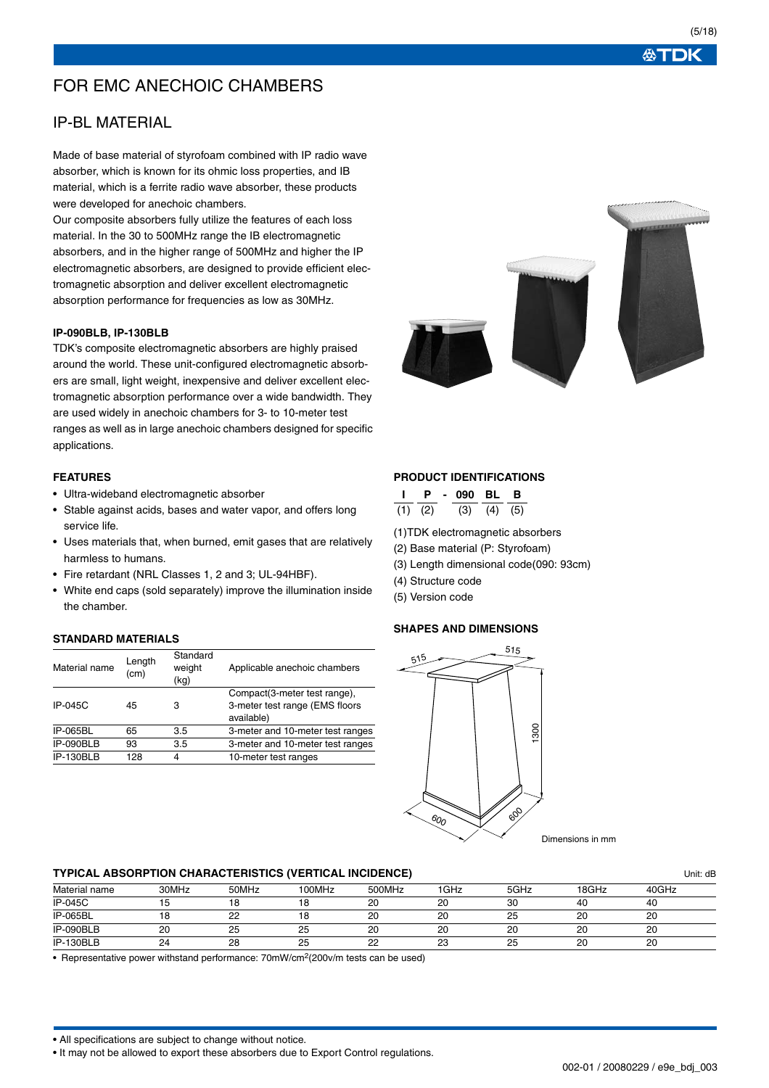# FOR EMC ANECHOIC CHAMBERS

## IP-BL MATERIAL

Made of base material of styrofoam combined with IP radio wave absorber, which is known for its ohmic loss properties, and IB material, which is a ferrite radio wave absorber, these products were developed for anechoic chambers.

Our composite absorbers fully utilize the features of each loss material. In the 30 to 500MHz range the IB electromagnetic absorbers, and in the higher range of 500MHz and higher the IP electromagnetic absorbers, are designed to provide efficient electromagnetic absorption and deliver excellent electromagnetic absorption performance for frequencies as low as 30MHz.

### **IP-090BLB, IP-130BLB**

TDK's composite electromagnetic absorbers are highly praised around the world. These unit-configured electromagnetic absorbers are small, light weight, inexpensive and deliver excellent electromagnetic absorption performance over a wide bandwidth. They are used widely in anechoic chambers for 3- to 10-meter test ranges as well as in large anechoic chambers designed for specific applications.

### **FEATURES**

- Ultra-wideband electromagnetic absorber
- Stable against acids, bases and water vapor, and offers long service life.
- Uses materials that, when burned, emit gases that are relatively harmless to humans.
- Fire retardant (NRL Classes 1, 2 and 3; UL-94HBF).
- White end caps (sold separately) improve the illumination inside the chamber.

## **STANDARD MATERIALS**

| Material name | Length<br>(cm) | Standard<br>weight<br>(kg) | Applicable anechoic chambers                                                 |
|---------------|----------------|----------------------------|------------------------------------------------------------------------------|
| IP-045C       | 45             | з                          | Compact(3-meter test range),<br>3-meter test range (EMS floors<br>available) |
| IP-065BL      | 65             | 3.5                        | 3-meter and 10-meter test ranges                                             |
| IP-090BLB     | 93             | 3.5                        | 3-meter and 10-meter test ranges                                             |
| IP-130BLB     | 128            | 4                          | 10-meter test ranges                                                         |



### **PRODUCT IDENTIFICATIONS**

|             |  | IP-090 BLB |                   |  |
|-------------|--|------------|-------------------|--|
| $(1)$ $(2)$ |  |            | $(3)$ $(4)$ $(5)$ |  |

- (1)TDK electromagnetic absorbers
- (2) Base material (P: Styrofoam)
- (3) Length dimensional code(090: 93cm)
- (4) Structure code
- (5) Version code

## **SHAPES AND DIMENSIONS**



#### **TYPICAL ABSORPTION CHARACTERISTICS (VERTICAL INCIDENCE)** Unit: dB

| ___            |       | ___   |        | ____   |          |      |       |       |
|----------------|-------|-------|--------|--------|----------|------|-------|-------|
| Material name  | 30MHz | 50MHz | 100MHz | 500MHz | 1GHz     | 5GHz | 18GHz | 40GHz |
| <b>IP-045C</b> |       |       |        | 20     | 20       | 30   | 40    | 40    |
| IP-065BL       |       | 22    |        | 20     | 20       | ںے   | 20    | 20    |
| IP-090BLB      | 20    | 25    | 25     | 20     | 20       | 20   | 20    | 20    |
| IP-130BLB      | 24    | 28    | 25     | 22     | nn<br>دے | ںے   | 20    | 20    |

• Representative power withstand performance: 70mW/cm2(200v/m tests can be used)

• All specifications are subject to change without notice.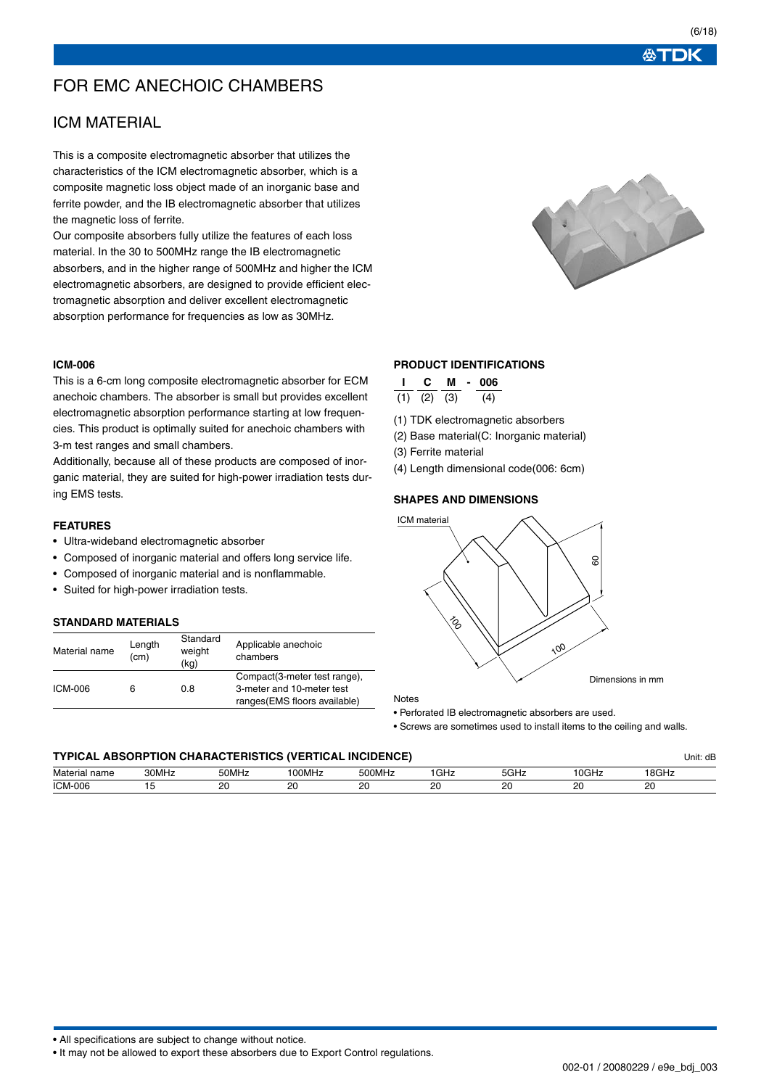# FOR EMC ANECHOIC CHAMBERS

## ICM MATERIAL

This is a composite electromagnetic absorber that utilizes the characteristics of the ICM electromagnetic absorber, which is a composite magnetic loss object made of an inorganic base and ferrite powder, and the IB electromagnetic absorber that utilizes the magnetic loss of ferrite.

Our composite absorbers fully utilize the features of each loss material. In the 30 to 500MHz range the IB electromagnetic absorbers, and in the higher range of 500MHz and higher the ICM electromagnetic absorbers, are designed to provide efficient electromagnetic absorption and deliver excellent electromagnetic absorption performance for frequencies as low as 30MHz.

#### **ICM-006**

This is a 6-cm long composite electromagnetic absorber for ECM anechoic chambers. The absorber is small but provides excellent electromagnetic absorption performance starting at low frequencies. This product is optimally suited for anechoic chambers with 3-m test ranges and small chambers.

Additionally, because all of these products are composed of inorganic material, they are suited for high-power irradiation tests during EMS tests.

### **FEATURES**

- Ultra-wideband electromagnetic absorber
- Composed of inorganic material and offers long service life.
- Composed of inorganic material and is nonflammable.
- Suited for high-power irradiation tests.

## **STANDARD MATERIALS**

| Material name | Length<br>(cm) | Standard<br>weight<br>(kg) | Applicable anechoic<br>chambers |
|---------------|----------------|----------------------------|---------------------------------|
|               |                |                            | Compact(3-meter test range),    |
| ICM-006       | 6              | 0.8                        | 3-meter and 10-meter test       |
|               |                |                            | ranges(EMS floors available)    |

## **PRODUCT IDENTIFICATIONS**

| C.                | M | $\sim$ | 006 |  |
|-------------------|---|--------|-----|--|
| $(1)$ $(2)$ $(3)$ |   |        | (4) |  |

(1) TDK electromagnetic absorbers

(2) Base material(C: Inorganic material)

(3) Ferrite material

(4) Length dimensional code(006: 6cm)

#### **SHAPES AND DIMENSIONS**



Notes

• Perforated IB electromagnetic absorbers are used.

• Screws are sometimes used to install items to the ceiling and walls.

### **TYPICAL ABSORPTION CHARACTERISTICS (VERTICAL INCIDENCE)** Unit: dB

| Materia<br>name<br>ıa   | 30MHz | 50MHz          | '00MHz          | 500MHz         | GHz             | 5GHz              | '0GHz         | '8GHz          |
|-------------------------|-------|----------------|-----------------|----------------|-----------------|-------------------|---------------|----------------|
| <b>ICM-006</b><br>- - - |       | n,<br>້<br>___ | ററ<br>. .<br>__ | n,<br>ZU<br>__ | or<br>LV.<br>__ | $\sim$<br>∼<br>__ | or<br>∼<br>__ | or<br>້<br>___ |

• All specifications are subject to change without notice.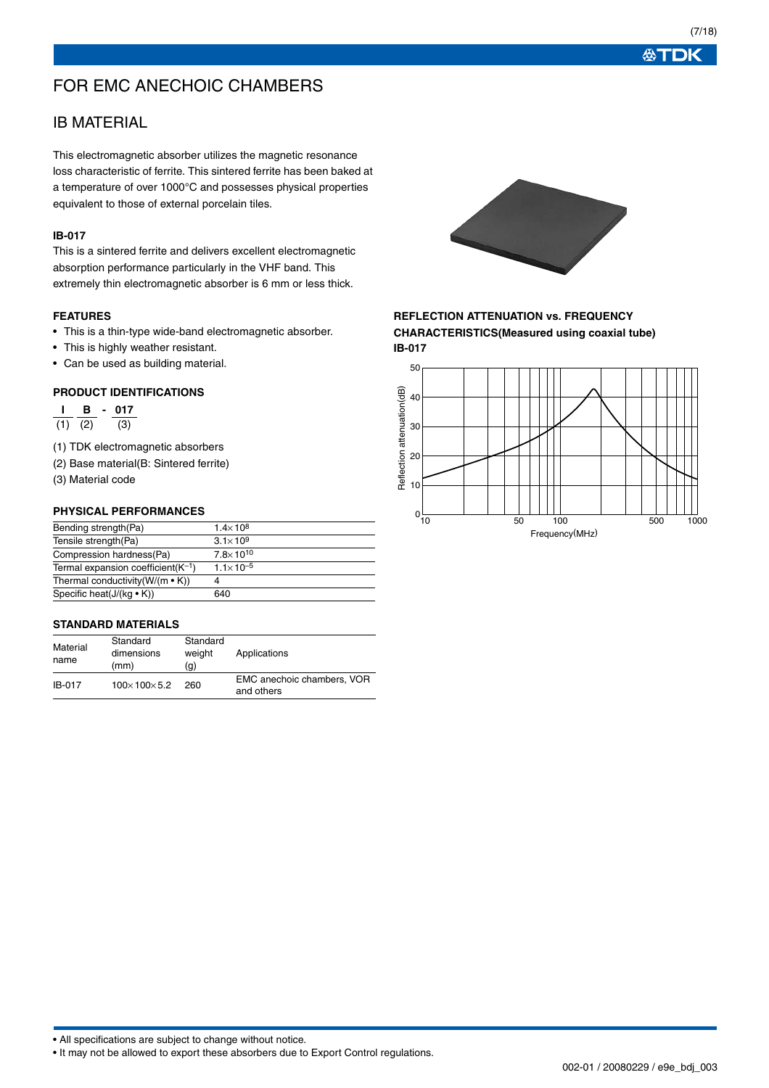# FOR EMC ANECHOIC CHAMBERS

## IB MATERIAL

This electromagnetic absorber utilizes the magnetic resonance loss characteristic of ferrite. This sintered ferrite has been baked at a temperature of over 1000°C and possesses physical properties equivalent to those of external porcelain tiles.

### **IB-017**

This is a sintered ferrite and delivers excellent electromagnetic absorption performance particularly in the VHF band. This extremely thin electromagnetic absorber is 6 mm or less thick.

### **FEATURES**

- This is a thin-type wide-band electromagnetic absorber.
- This is highly weather resistant.
- Can be used as building material.

### **PRODUCT IDENTIFICATIONS**

**I B - 017**  $\overline{(1)}$   $\overline{(2)}$   $\overline{(3)}$ 

- (1) TDK electromagnetic absorbers
- (2) Base material(B: Sintered ferrite)
- (3) Material code

### **PHYSICAL PERFORMANCES**

| Bending strength (Pa)                    | $1.4 \times 10^{8}$  |
|------------------------------------------|----------------------|
| Tensile strength(Pa)                     | $3.1 \times 10^{9}$  |
| Compression hardness(Pa)                 | $7.8 \times 10^{10}$ |
| Termal expansion coefficient( $K^{-1}$ ) | $1.1 \times 10^{-5}$ |
| Thermal conductivity ( $W/(m \cdot K)$ ) | 4                    |
| Specific heat( $J/(kg \cdot K)$ )        | 640                  |
|                                          |                      |

### **STANDARD MATERIALS**

| Material<br>name | Standard<br>dimensions<br>(mm) | Standard<br>weight<br>(g) | Applications                             |
|------------------|--------------------------------|---------------------------|------------------------------------------|
| IB-017           | $100 \times 100 \times 5.2$    | 260                       | EMC anechoic chambers. VOR<br>and others |



## **REFLECTION ATTENUATION vs. FREQUENCY CHARACTERISTICS(Measured using coaxial tube)**



必TDK

• All specifications are subject to change without notice.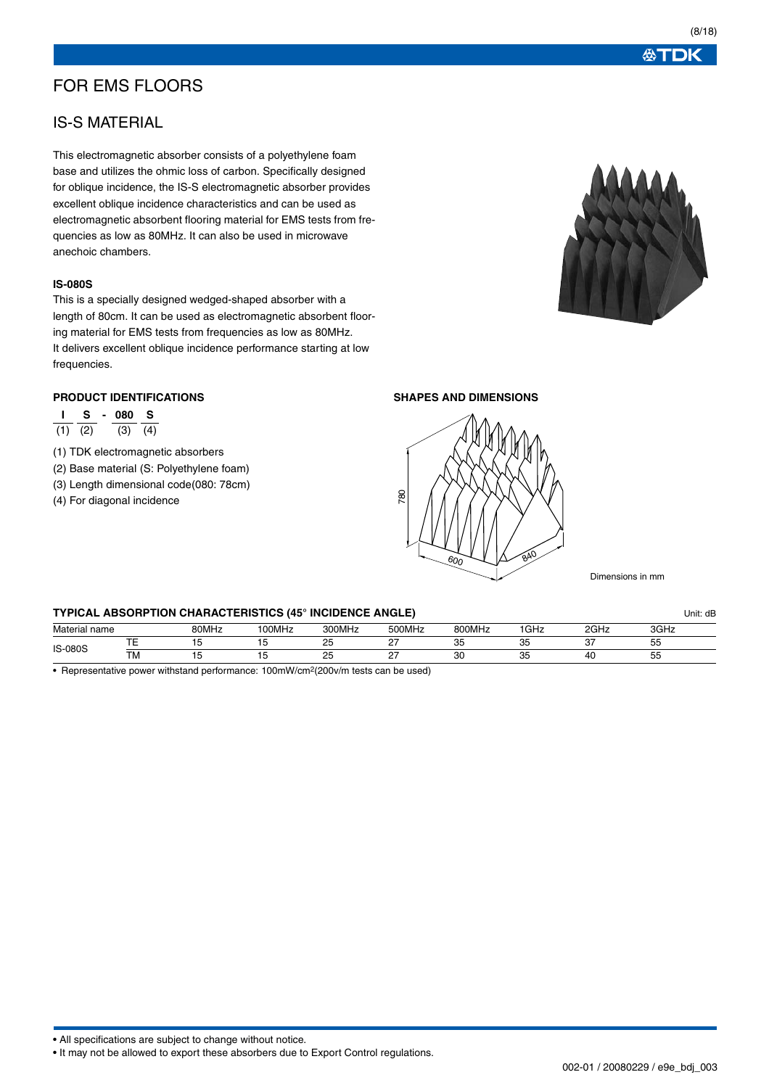## FOR EMS FLOORS

## IS-S MATERIAL

This electromagnetic absorber consists of a polyethylene foam base and utilizes the ohmic loss of carbon. Specifically designed for oblique incidence, the IS-S electromagnetic absorber provides excellent oblique incidence characteristics and can be used as electromagnetic absorbent flooring material for EMS tests from frequencies as low as 80MHz. It can also be used in microwave anechoic chambers.

## **IS-080S**

This is a specially designed wedged-shaped absorber with a length of 80cm. It can be used as electromagnetic absorbent flooring material for EMS tests from frequencies as low as 80MHz. It delivers excellent oblique incidence performance starting at low frequencies.

## **PRODUCT IDENTIFICATIONS**

|             | s | $\sim$ | 080 S       |  |
|-------------|---|--------|-------------|--|
| $(1)$ $(2)$ |   |        | $(3)$ $(4)$ |  |

- (1) TDK electromagnetic absorbers
- (2) Base material (S: Polyethylene foam)
- (3) Length dimensional code(080: 78cm)
- (4) For diagonal incidence

**SHAPES AND DIMENSIONS**

600

• All specifications are subject to change without notice.

• It may not be allowed to export these absorbers due to Export Control regulations.



840





Dimensions in mm

#### **TYPICAL ABSORPTION CHARACTERISTICS (45° INCIDENCE ANGLE)** Unit: dB

| Material name  |           | 80MHz | '00MHz | 300MHz      | 500MHz | <b>300MHz</b> | <sup>1</sup> GHz | $\Omega$<br>- ש⊓ב. | 0011<br>∡⊓ג∪י   |  |
|----------------|-----------|-------|--------|-------------|--------|---------------|------------------|--------------------|-----------------|--|
| <b>IS-080S</b> | $- -$     |       |        | $\sim$<br>ے | $\sim$ | ັ             | ັບ               | $\sim$ $-$<br>ັ    | --<br>ັບ        |  |
|                | <b>TM</b> |       |        | $\sim$<br>ے | $\sim$ | $\sim$<br>vu  | $\sim$<br>ັ      | 40                 | --<br>. .<br>ັບ |  |

780

• Representative power withstand performance: 100mW/cm2(200v/m tests can be used)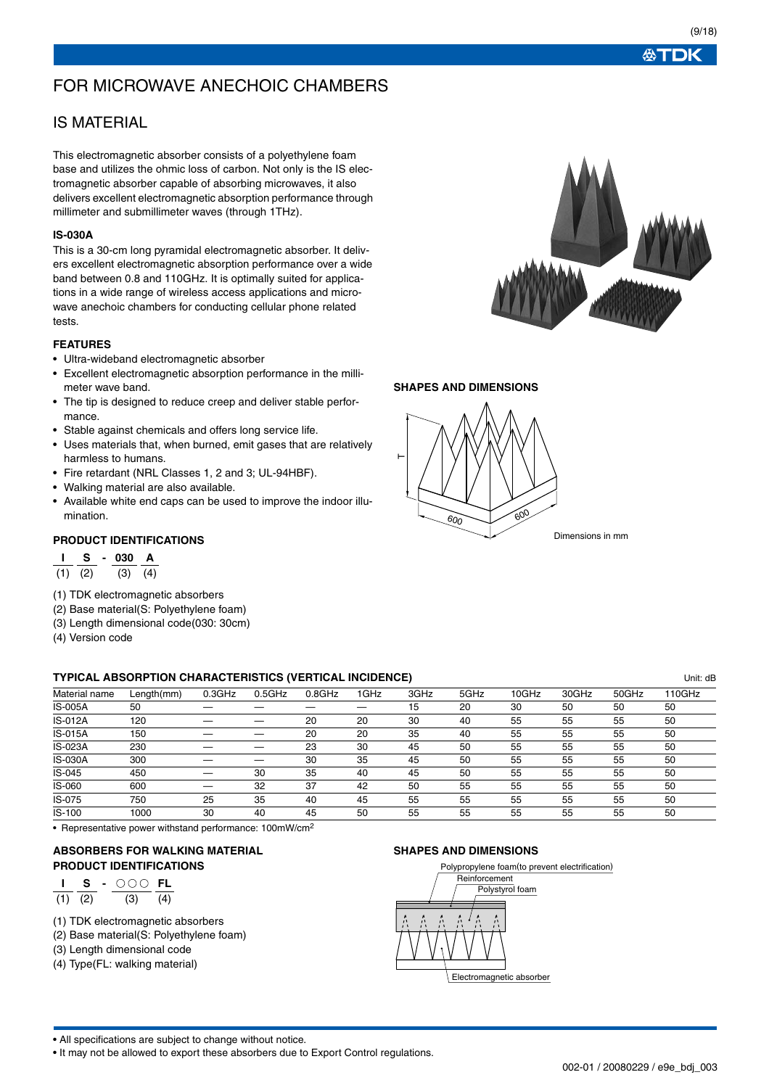# FOR MICROWAVE ANECHOIC CHAMBERS

## IS MATERIAL

This electromagnetic absorber consists of a polyethylene foam base and utilizes the ohmic loss of carbon. Not only is the IS electromagnetic absorber capable of absorbing microwaves, it also delivers excellent electromagnetic absorption performance through millimeter and submillimeter waves (through 1THz).

### **IS-030A**

This is a 30-cm long pyramidal electromagnetic absorber. It delivers excellent electromagnetic absorption performance over a wide band between 0.8 and 110GHz. It is optimally suited for applications in a wide range of wireless access applications and microwave anechoic chambers for conducting cellular phone related tests.

## **FEATURES**

- Ultra-wideband electromagnetic absorber
- Excellent electromagnetic absorption performance in the millimeter wave band.
- The tip is designed to reduce creep and deliver stable performance.
- Stable against chemicals and offers long service life.
- Uses materials that, when burned, emit gases that are relatively harmless to humans.
- Fire retardant (NRL Classes 1, 2 and 3; UL-94HBF).
- Walking material are also available.
- Available white end caps can be used to improve the indoor illumination.

### **PRODUCT IDENTIFICATIONS**

## **I S - 030 A**

(1) (2) (3) (4)

- (1) TDK electromagnetic absorbers
- (2) Base material(S: Polyethylene foam)
- (3) Length dimensional code(030: 30cm)
- (4) Version code

## **TYPICAL ABSORPTION CHARACTERISTICS (VERTICAL INCIDENCE)** Unit: dB

Material name Length(mm) 0.3GHz 0.5GHz 0.8GHz 1GHz 3GHz 5GHz 10GHz 30GHz 50GHz 110GHz IS-005A 50 — — — — 15 20 30 50 50 50 IS-012A 120 — — 20 20 30 40 55 55 55 50 IS-015A 150 — — 20 20 35 40 55 55 55 50 IS-023A 230 — — 23 30 45 50 55 55 55 50 IS-030A 300 — — 30 35 45 50 55 55 55 50 IS-045 450 — 30 35 40 45 50 55 55 55 50 IS-060 600 — 32 37 42 50 55 55 55 55 50 IS-075 750 25 35 40 45 55 55 55 55 55 50 IS-100 1000 30 40 45 50 55 55 55 55 55 50

• Representative power withstand performance: 100mW/cm2

### **ABSORBERS FOR WALKING MATERIAL PRODUCT IDENTIFICATIONS**

|             | $\mathbf{I}$ S | - ooo fl    |  |
|-------------|----------------|-------------|--|
| $(1)$ $(2)$ |                | $(3)$ $(4)$ |  |

- (1) TDK electromagnetic absorbers
- (2) Base material(S: Polyethylene foam)
- (3) Length dimensional code
- (4) Type(FL: walking material)

#### **SHAPES AND DIMENSIONS**



• All specifications are subject to change without notice.

• It may not be allowed to export these absorbers due to Export Control regulations.



### **SHAPES AND DIMENSIONS**

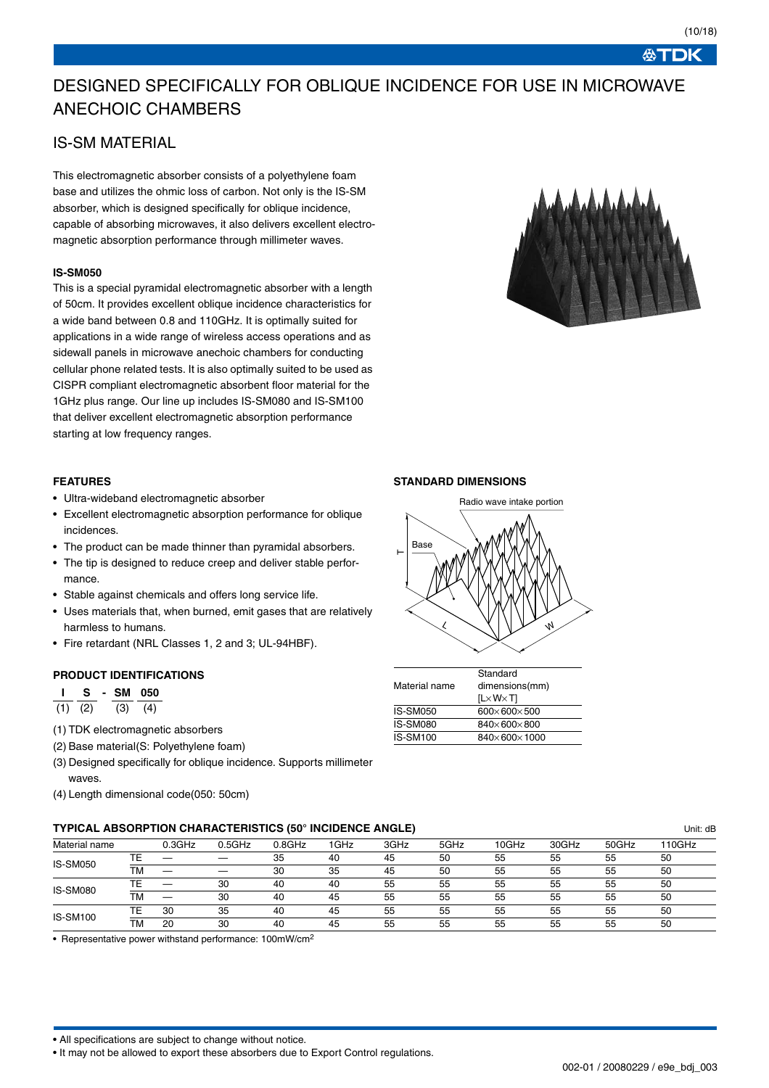∜TDK

# DESIGNED SPECIFICALLY FOR OBLIQUE INCIDENCE FOR USE IN MICROWAVE ANECHOIC CHAMBERS

## IS-SM MATERIAL

This electromagnetic absorber consists of a polyethylene foam base and utilizes the ohmic loss of carbon. Not only is the IS-SM absorber, which is designed specifically for oblique incidence, capable of absorbing microwaves, it also delivers excellent electromagnetic absorption performance through millimeter waves.

### **IS-SM050**

This is a special pyramidal electromagnetic absorber with a length of 50cm. It provides excellent oblique incidence characteristics for a wide band between 0.8 and 110GHz. It is optimally suited for applications in a wide range of wireless access operations and as sidewall panels in microwave anechoic chambers for conducting cellular phone related tests. It is also optimally suited to be used as CISPR compliant electromagnetic absorbent floor material for the 1GHz plus range. Our line up includes IS-SM080 and IS-SM100 that deliver excellent electromagnetic absorption performance starting at low frequency ranges.



#### **FEATURES**

- Ultra-wideband electromagnetic absorber
- Excellent electromagnetic absorption performance for oblique incidences.
- The product can be made thinner than pyramidal absorbers.
- The tip is designed to reduce creep and deliver stable performance.
- Stable against chemicals and offers long service life.
- Uses materials that, when burned, emit gases that are relatively harmless to humans.
- Fire retardant (NRL Classes 1, 2 and 3; UL-94HBF).

#### **PRODUCT IDENTIFICATIONS**

**S** - SM 050  $(1)$   $(2)$   $(3)$   $(4)$ 

- (1) TDK electromagnetic absorbers
- (2) Base material(S: Polyethylene foam)
- (3) Designed specifically for oblique incidence. Supports millimeter waves.
- (4) Length dimensional code(050: 50cm)

#### **STANDARD DIMENSIONS**



| Material name   | Standard<br>dimensions(mm)<br>$[L \times W \times T]$ |
|-----------------|-------------------------------------------------------|
| <b>IS-SM050</b> | $600 \times 600 \times 500$                           |
| <b>IS-SM080</b> | 840×600×800                                           |
| IS-SM100        | $840\times 600\times 1000$                            |

## **TYPICAL ABSORPTION CHARACTERISTICS (50° INCIDENCE ANGLE)** Unit: dB

| Material name   |    | 0.3GHz | 0.5GHz | $0.8$ GHz | 1GHz | 3GHz | 5GHz | 10GHz | 30GHz | 50GHz | 110GHz |
|-----------------|----|--------|--------|-----------|------|------|------|-------|-------|-------|--------|
| <b>IS-SM050</b> |    |        |        | 35        | 40   | 45   | 50   | 55    | 55    | 55    | 50     |
|                 | TМ |        | __     | 30        | 35   | 45   | 50   | 55    | 55    | 55    | 50     |
| <b>IS-SM080</b> |    |        | 30     | 40        | 40   | 55   | 55   | 55    | 55    | 55    | 50     |
|                 | ТM |        | 30     | 40        | 45   | 55   | 55   | 55    | 55    | 55    | 50     |
| <b>IS-SM100</b> |    | 30     | 35     | 40        | 45   | 55   | 55   | 55    | 55    | 55    | 50     |
|                 | TM | 20     | 30     | 40        | 45   | 55   | 55   | 55    | 55    | 55    | 50     |

• Representative power withstand performance: 100mW/cm2

• All specifications are subject to change without notice.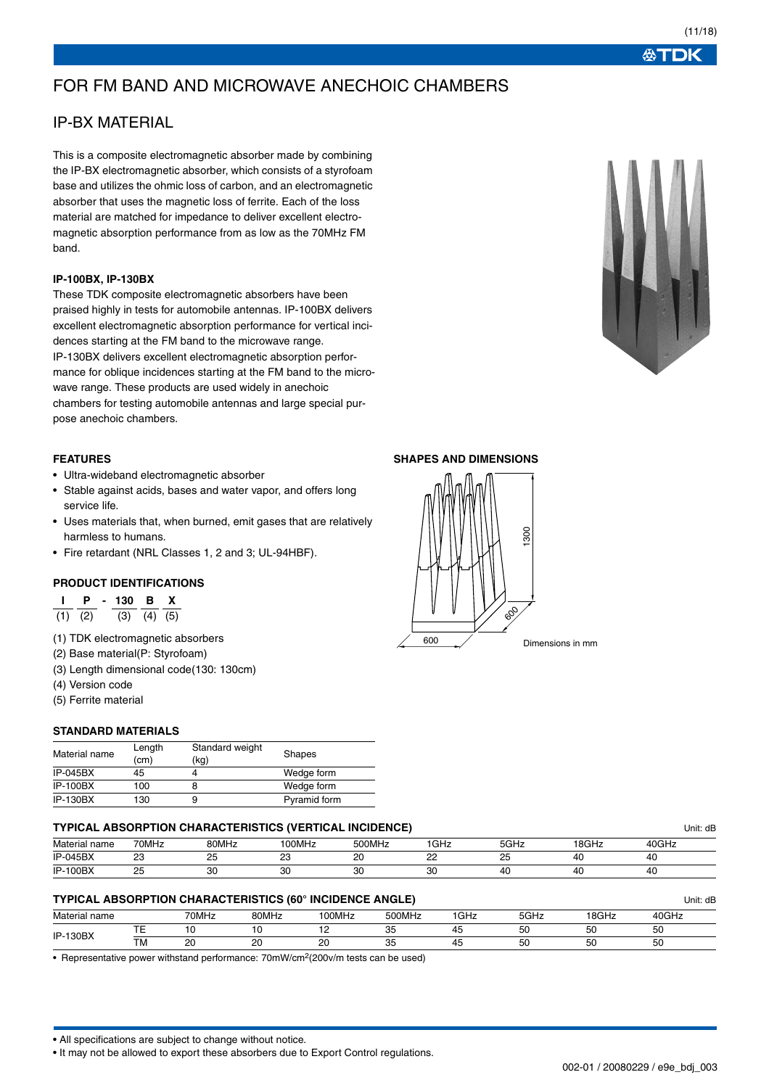# FOR FM BAND AND MICROWAVE ANECHOIC CHAMBERS

## IP-BX MATERIAL

This is a composite electromagnetic absorber made by combining the IP-BX electromagnetic absorber, which consists of a styrofoam base and utilizes the ohmic loss of carbon, and an electromagnetic absorber that uses the magnetic loss of ferrite. Each of the loss material are matched for impedance to deliver excellent electromagnetic absorption performance from as low as the 70MHz FM band.

### **IP-100BX, IP-130BX**

These TDK composite electromagnetic absorbers have been praised highly in tests for automobile antennas. IP-100BX delivers excellent electromagnetic absorption performance for vertical incidences starting at the FM band to the microwave range. IP-130BX delivers excellent electromagnetic absorption performance for oblique incidences starting at the FM band to the microwave range. These products are used widely in anechoic chambers for testing automobile antennas and large special purpose anechoic chambers.

## **FEATURES**

- Ultra-wideband electromagnetic absorber
- Stable against acids, bases and water vapor, and offers long service life.
- Uses materials that, when burned, emit gases that are relatively harmless to humans.
- Fire retardant (NRL Classes 1, 2 and 3; UL-94HBF).

### **PRODUCT IDENTIFICATIONS**

| Р           | - 130 B X |                   |  |
|-------------|-----------|-------------------|--|
| $(1)$ $(2)$ |           | $(3)$ $(4)$ $(5)$ |  |

- (1) TDK electromagnetic absorbers
- (2) Base material(P: Styrofoam)
- (3) Length dimensional code(130: 130cm)
- (4) Version code
- (5) Ferrite material

## **STANDARD MATERIALS**

| Material name   | Length<br>(cm) | Standard weight<br>(kg) | Shapes       |
|-----------------|----------------|-------------------------|--------------|
| $IP-045BX$      | 45             |                         | Wedge form   |
| <b>IP-100BX</b> | 100            |                         | Wedge form   |
| <b>IP-130BX</b> | 130            | 9                       | Pyramid form |

## **TYPICAL ABSORPTION CHARACTERISTICS (VERTICAL INCIDENCE)** Unit: dB

| Material name   | 70MHz          | 80MHz     | '00MHz   | 500MHz    | 'GHz                | $F \cap L$<br>∠חט          | 18GHz | 40GHz |  |
|-----------------|----------------|-----------|----------|-----------|---------------------|----------------------------|-------|-------|--|
| <b>IP-045BX</b> | $\sim$<br>ںے   | <u>__</u> | nn.<br>ے | ne.<br>∠∪ | $\sim$<br><u>__</u> | $\sim$ $\sim$<br><u>__</u> | 40    | 40    |  |
| <b>IP-100BX</b> | ~-<br>ںے<br>__ | UU        | 30       | nr<br>30  | 30                  | ΔΙ                         | 40    | 40    |  |

### **TYPICAL ABSORPTION CHARACTERISTICS (60° INCIDENCE ANGLE)** Unit: dB

| Material name   |                | 70MHz        | 80MHz       | 100MHz             | 500MHz              | $\sim$<br>unz | 5GHz          | <sup>1</sup> 8GHz | 10GHz |  |
|-----------------|----------------|--------------|-------------|--------------------|---------------------|---------------|---------------|-------------------|-------|--|
| <b>IP-130BX</b> | $- - -$<br>. . |              |             | . .                | $\sim$ $\sim$<br>ັບ |               | --<br>ы<br>ັບ | БC<br>ັ           | 50    |  |
|                 | <b>TM</b>      | $\sim$<br>2. | $\sim$<br>∼ | $\sim$<br>۷J<br>__ | $\sim$<br>ັບ        | ∼             | r.<br>ы<br>JU | 5С                | 50    |  |

• Representative power withstand performance: 70mW/cm2(200v/m tests can be used)

• All specifications are subject to change without notice.

• It may not be allowed to export these absorbers due to Export Control regulations.

### **SHAPES AND DIMENSIONS**





**ATDK**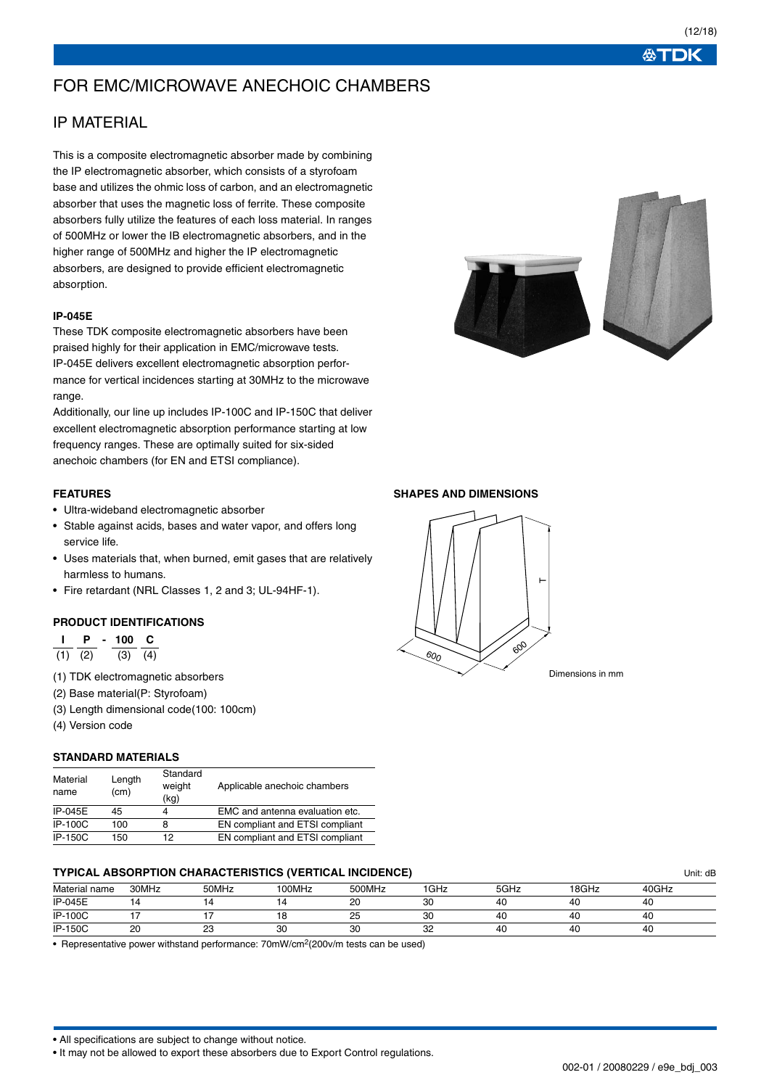## FOR EMC/MICROWAVE ANECHOIC CHAMBERS

## IP MATERIAL

This is a composite electromagnetic absorber made by combining the IP electromagnetic absorber, which consists of a styrofoam base and utilizes the ohmic loss of carbon, and an electromagnetic absorber that uses the magnetic loss of ferrite. These composite absorbers fully utilize the features of each loss material. In ranges of 500MHz or lower the IB electromagnetic absorbers, and in the higher range of 500MHz and higher the IP electromagnetic absorbers, are designed to provide efficient electromagnetic absorption.

### **IP-045E**

These TDK composite electromagnetic absorbers have been praised highly for their application in EMC/microwave tests. IP-045E delivers excellent electromagnetic absorption performance for vertical incidences starting at 30MHz to the microwave range.

Additionally, our line up includes IP-100C and IP-150C that deliver excellent electromagnetic absorption performance starting at low frequency ranges. These are optimally suited for six-sided anechoic chambers (for EN and ETSI compliance).

### **FEATURES**

- Ultra-wideband electromagnetic absorber
- Stable against acids, bases and water vapor, and offers long service life.
- Uses materials that, when burned, emit gases that are relatively harmless to humans.
- Fire retardant (NRL Classes 1, 2 and 3; UL-94HF-1).

## **PRODUCT IDENTIFICATIONS**

|     | Р   | 100. | c   |
|-----|-----|------|-----|
| (1) | (2) | (3)  | (4) |

- (1) TDK electromagnetic absorbers
- (2) Base material(P: Styrofoam)
- (3) Length dimensional code(100: 100cm)
- (4) Version code

#### **STANDARD MATERIALS**

| Material<br>name | Length<br>(cm) | Standard<br>weight<br>(kg) | Applicable anechoic chambers    |
|------------------|----------------|----------------------------|---------------------------------|
| IP-045E          | 45             |                            | EMC and antenna evaluation etc. |
| <b>IP-100C</b>   | 100            |                            | EN compliant and ETSI compliant |
| IP-150C          | 150            | 12                         | EN compliant and ETSI compliant |

## **TYPICAL ABSORPTION CHARACTERISTICS (VERTICAL INCIDENCE)** Unit: dB

| Material name  | 30MHz       | 50MHz     | 100MHz | 500MHz   | GHz | 5GHz | 18GHz | 40GHz |  |
|----------------|-------------|-----------|--------|----------|-----|------|-------|-------|--|
| <b>IP-045E</b> |             |           |        | nn<br>zu | 30  | 40   |       | 40    |  |
| <b>IP-100C</b> |             |           |        | 25       | 30  | 40   | 4     | 40    |  |
| <b>IP-150C</b> | $\sim$<br>ے | ne.<br>دے | υU     | 30       | 32  | 40   | 4     | 40    |  |

• Representative power withstand performance: 70mW/cm2(200v/m tests can be used)

• All specifications are subject to change without notice.

• It may not be allowed to export these absorbers due to Export Control regulations.







002-01 / 20080229 / e9e\_bdj\_003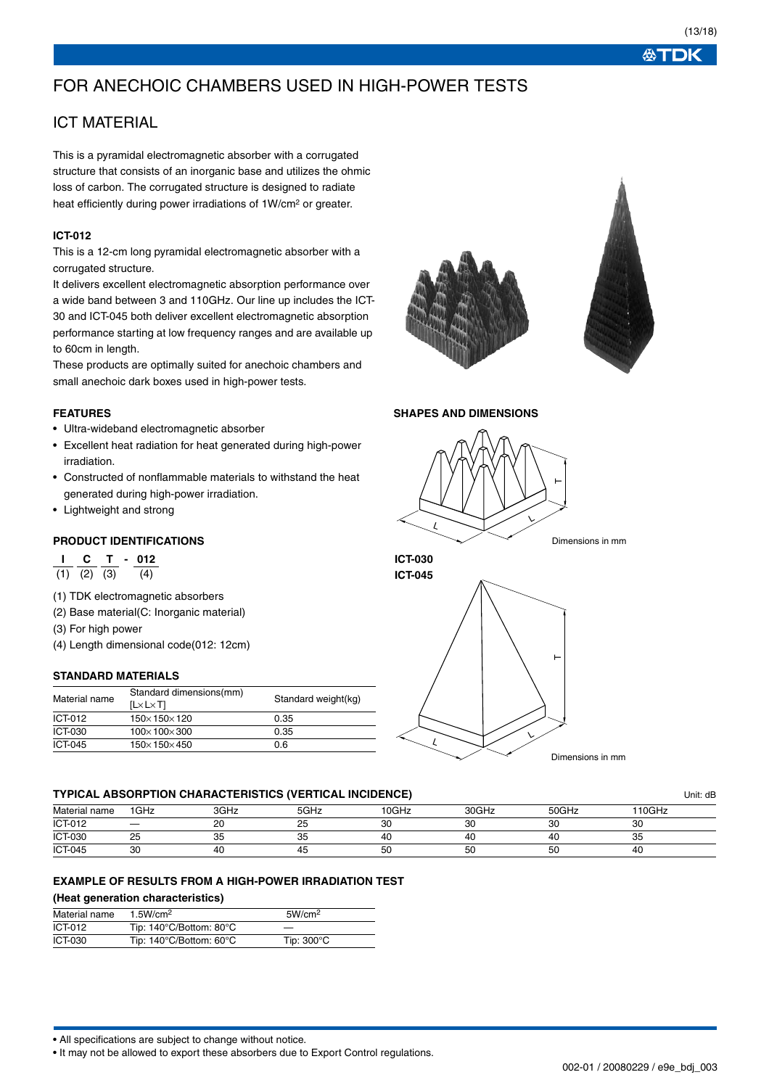# FOR ANECHOIC CHAMBERS USED IN HIGH-POWER TESTS

## ICT MATERIAL

This is a pyramidal electromagnetic absorber with a corrugated structure that consists of an inorganic base and utilizes the ohmic loss of carbon. The corrugated structure is designed to radiate heat efficiently during power irradiations of 1W/cm2 or greater.

## **ICT-012**

This is a 12-cm long pyramidal electromagnetic absorber with a corrugated structure.

It delivers excellent electromagnetic absorption performance over a wide band between 3 and 110GHz. Our line up includes the ICT-30 and ICT-045 both deliver excellent electromagnetic absorption performance starting at low frequency ranges and are available up to 60cm in length.

These products are optimally suited for anechoic chambers and small anechoic dark boxes used in high-power tests.

### **FEATURES**

- Ultra-wideband electromagnetic absorber
- Excellent heat radiation for heat generated during high-power irradiation.
- Constructed of nonflammable materials to withstand the heat generated during high-power irradiation.
- Lightweight and strong

### **PRODUCT IDENTIFICATIONS**

**I C T - 012**

- $\overline{(1)}$   $\overline{(2)}$   $\overline{(3)}$   $\overline{(4)}$
- (1) TDK electromagnetic absorbers
- (2) Base material(C: Inorganic material)
- (3) For high power
- (4) Length dimensional code(012: 12cm)

#### **STANDARD MATERIALS**

| Material name | Standard dimensions(mm)<br>$[L \times L \times T]$ | Standard weight(kg) |
|---------------|----------------------------------------------------|---------------------|
| ICT-012       | $150 \times 150 \times 120$                        | 0.35                |
| ICT-030       | $100\times100\times300$                            | 0.35                |
| ICT-045       | $150 \times 150 \times 450$                        | 0.6                 |





### **SHAPES AND DIMENSIONS**





#### **TYPICAL ABSORPTION CHARACTERISTICS (VERTICAL INCIDENCE)** Unit: dB

|                |      |      |      |       |       |       |        | , ש⊿ … |
|----------------|------|------|------|-------|-------|-------|--------|--------|
| Material name  | 1GHz | 3GHz | 5GHz | 10GHz | 30GHz | 50GHz | 110GHz |        |
| ICT-012        |      | 20   | 25   | 30    | 30    | 30    | 30     |        |
| ICT-030        | 25   | 35   | 35   | 40    | 40    | 40    | 35     |        |
| <b>ICT-045</b> | 30   | 40   | 45   | 50    | 50    | 50    | 40     |        |

### **EXAMPLE OF RESULTS FROM A HIGH-POWER IRRADIATION TEST**

### **(Heat generation characteristics)**

| Material name  | 1.5W/cm <sup>2</sup>    | 5W/cm <sup>2</sup>   |  |
|----------------|-------------------------|----------------------|--|
| ICT-012        | Tip: 140°C/Bottom: 80°C |                      |  |
| <b>ICT-030</b> | Tip: 140°C/Bottom: 60°C | Tip: $300^{\circ}$ C |  |

• All specifications are subject to change without notice.

• It may not be allowed to export these absorbers due to Export Control regulations.

002-01 / 20080229 / e9e\_bdj\_003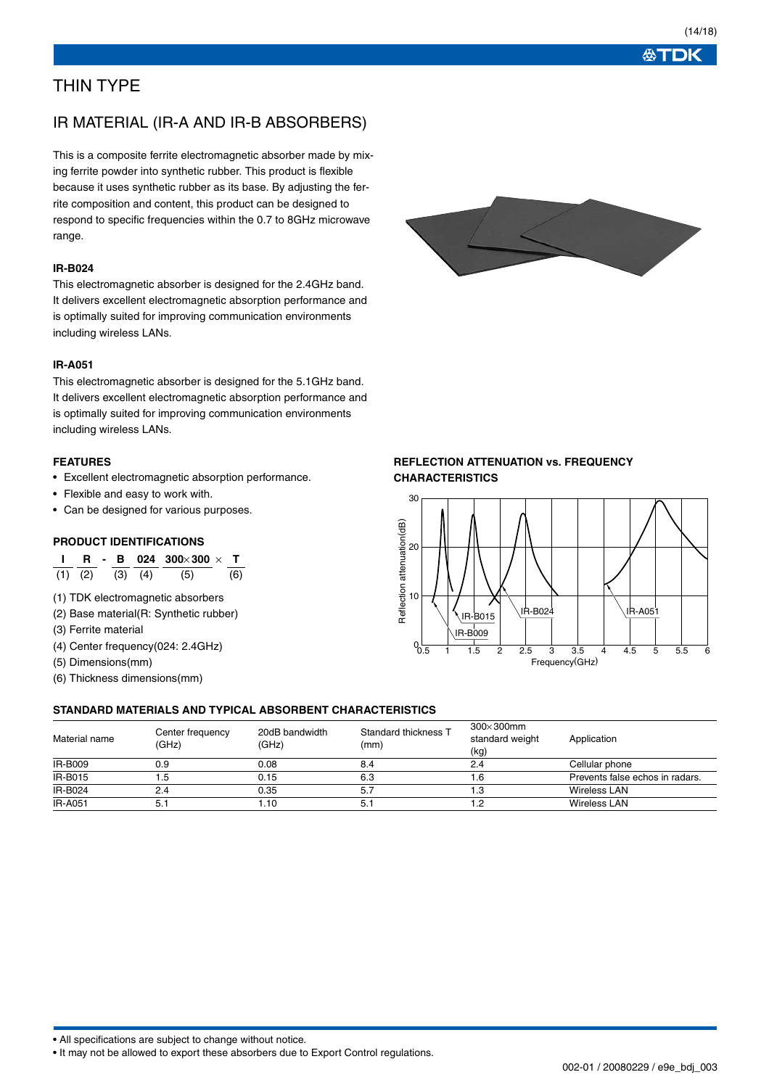**ATDK** 

## THIN TYPE

## IR MATERIAL (IR-A AND IR-B ABSORBERS)

This is a composite ferrite electromagnetic absorber made by mixing ferrite powder into synthetic rubber. This product is flexible because it uses synthetic rubber as its base. By adjusting the ferrite composition and content, this product can be designed to respond to specific frequencies within the 0.7 to 8GHz microwave range.

### **IR-B024**

This electromagnetic absorber is designed for the 2.4GHz band. It delivers excellent electromagnetic absorption performance and is optimally suited for improving communication environments including wireless LANs.

#### **IR-A051**

This electromagnetic absorber is designed for the 5.1GHz band. It delivers excellent electromagnetic absorption performance and is optimally suited for improving communication environments including wireless LANs.

### **FEATURES**

- Excellent electromagnetic absorption performance.
- Flexible and easy to work with.
- Can be designed for various purposes.

#### **PRODUCT IDENTIFICATIONS**

**I R - B 024 300**× **300** × **T**  $\overline{(1)}$   $\overline{(2)}$   $\overline{(3)}$   $\overline{(4)}$   $\overline{(5)}$   $\overline{(6)}$ 

- (1) TDK electromagnetic absorbers
- (2) Base material(R: Synthetic rubber)
- (3) Ferrite material
- (4) Center frequency(024: 2.4GHz)
- (5) Dimensions(mm)
- (6) Thickness dimensions(mm)

## **REFLECTION ATTENUATION vs. FREQUENCY CHARACTERISTICS**



#### **STANDARD MATERIALS AND TYPICAL ABSORBENT CHARACTERISTICS**

| Material name  | Center frequency<br>(GHz) | 20dB bandwidth<br>(GHz) | Standard thickness T<br>(mm) | $300\times300$ mm<br>standard weight<br>(kg) | Application                     |
|----------------|---------------------------|-------------------------|------------------------------|----------------------------------------------|---------------------------------|
| <b>IR-B009</b> | 0.9                       | 0.08                    | 8.4                          | 2.4                                          | Cellular phone                  |
| IR-B015        | ۱.5                       | 0.15                    | 6.3                          | .6                                           | Prevents false echos in radars. |
| IR-B024        | 2.4                       | 0.35                    |                              | Ι.3                                          | <b>Wireless LAN</b>             |
| <b>IR-A051</b> | 5.1                       | .10،                    |                              | 2. ا                                         | <b>Wireless LAN</b>             |

• All specifications are subject to change without notice.

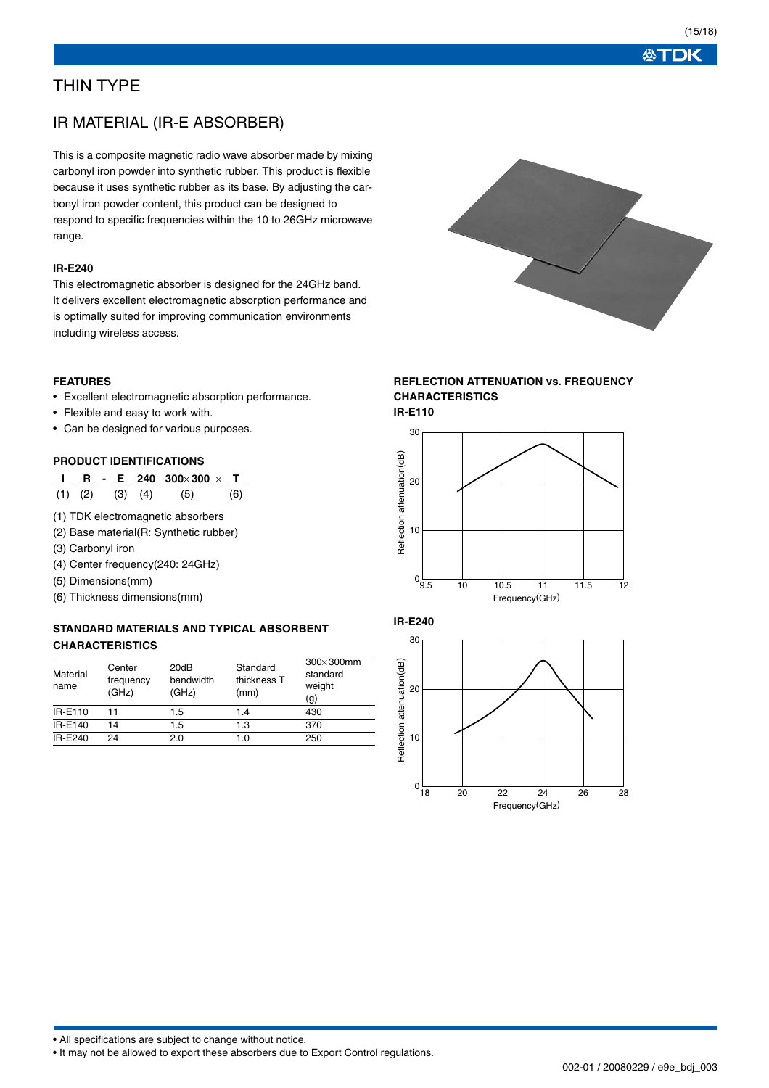必TDK

## THIN TYPE

## IR MATERIAL (IR-E ABSORBER)

This is a composite magnetic radio wave absorber made by mixing carbonyl iron powder into synthetic rubber. This product is flexible because it uses synthetic rubber as its base. By adjusting the carbonyl iron powder content, this product can be designed to respond to specific frequencies within the 10 to 26GHz microwave range.

### **IR-E240**

This electromagnetic absorber is designed for the 24GHz band. It delivers excellent electromagnetic absorption performance and is optimally suited for improving communication environments including wireless access.

### **FEATURES**

- Excellent electromagnetic absorption performance.
- Flexible and easy to work with.
- Can be designed for various purposes.

### **PRODUCT IDENTIFICATIONS**

**I R - E 240 300**× **300** × **T**  $(1)$   $(2)$   $(3)$   $(4)$   $(5)$   $(6)$ 

- (1) TDK electromagnetic absorbers
- (2) Base material(R: Synthetic rubber)
- (3) Carbonyl iron
- (4) Center frequency(240: 24GHz)
- (5) Dimensions(mm)
- (6) Thickness dimensions(mm)

## **STANDARD MATERIALS AND TYPICAL ABSORBENT CHARACTERISTICS**

| Material<br>name | Center<br>frequency<br>(GHz) | 20dB<br>bandwidth<br>(GHz) | Standard<br>thickness T<br>(mm) | $300\times300$ mm<br>standard<br>weight<br>(g) |
|------------------|------------------------------|----------------------------|---------------------------------|------------------------------------------------|
| IR-E110          | 11                           | 1.5                        | 1.4                             | 430                                            |
| IR-E140          | 14                           | 1.5                        | 1.3                             | 370                                            |
| IR-E240          | 24                           | 2.0                        | 1.0                             | 250                                            |



## **REFLECTION ATTENUATION vs. FREQUENCY CHARACTERISTICS**

**IR-E110**





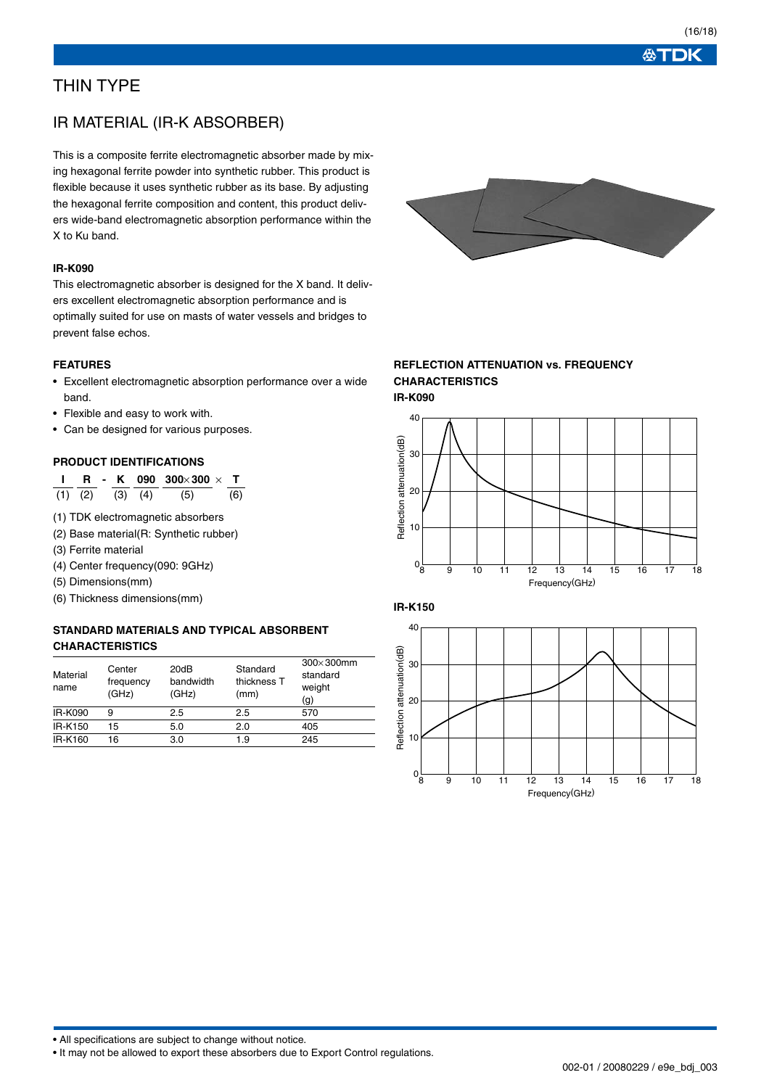必TDK

## THIN TYPE

## IR MATERIAL (IR-K ABSORBER)

This is a composite ferrite electromagnetic absorber made by mixing hexagonal ferrite powder into synthetic rubber. This product is flexible because it uses synthetic rubber as its base. By adjusting the hexagonal ferrite composition and content, this product delivers wide-band electromagnetic absorption performance within the X to Ku band.

### **IR-K090**

This electromagnetic absorber is designed for the X band. It delivers excellent electromagnetic absorption performance and is optimally suited for use on masts of water vessels and bridges to prevent false echos.

### **FEATURES**

- Excellent electromagnetic absorption performance over a wide band.
- Flexible and easy to work with.
- Can be designed for various purposes.

### **PRODUCT IDENTIFICATIONS**

**I R - K 090 300**× **300** × **T**  $(1)$   $(2)$   $(3)$   $(4)$   $(5)$   $(6)$ 

- (1) TDK electromagnetic absorbers
- (2) Base material(R: Synthetic rubber)
- (3) Ferrite material
- (4) Center frequency(090: 9GHz)
- (5) Dimensions(mm)
- (6) Thickness dimensions(mm)

## **STANDARD MATERIALS AND TYPICAL ABSORBENT CHARACTERISTICS**

| Material<br>name | Center<br>frequency<br>(GHz) | 20dB<br>bandwidth<br>(GHz) | Standard<br>thickness T<br>(mm) | $300\times300$ mm<br>standard<br>weight<br>(g) |
|------------------|------------------------------|----------------------------|---------------------------------|------------------------------------------------|
| <b>IR-K090</b>   | 9                            | 2.5                        | 2.5                             | 570                                            |
| IR-K150          | 15                           | 5.0                        | 2.0                             | 405                                            |
| IR-K160          | 16                           | 3.0                        | 1.9                             | 245                                            |



### **REFLECTION ATTENUATION vs. FREQUENCY CHARACTERISTICS IR-K090**





• All specifications are subject to change without notice.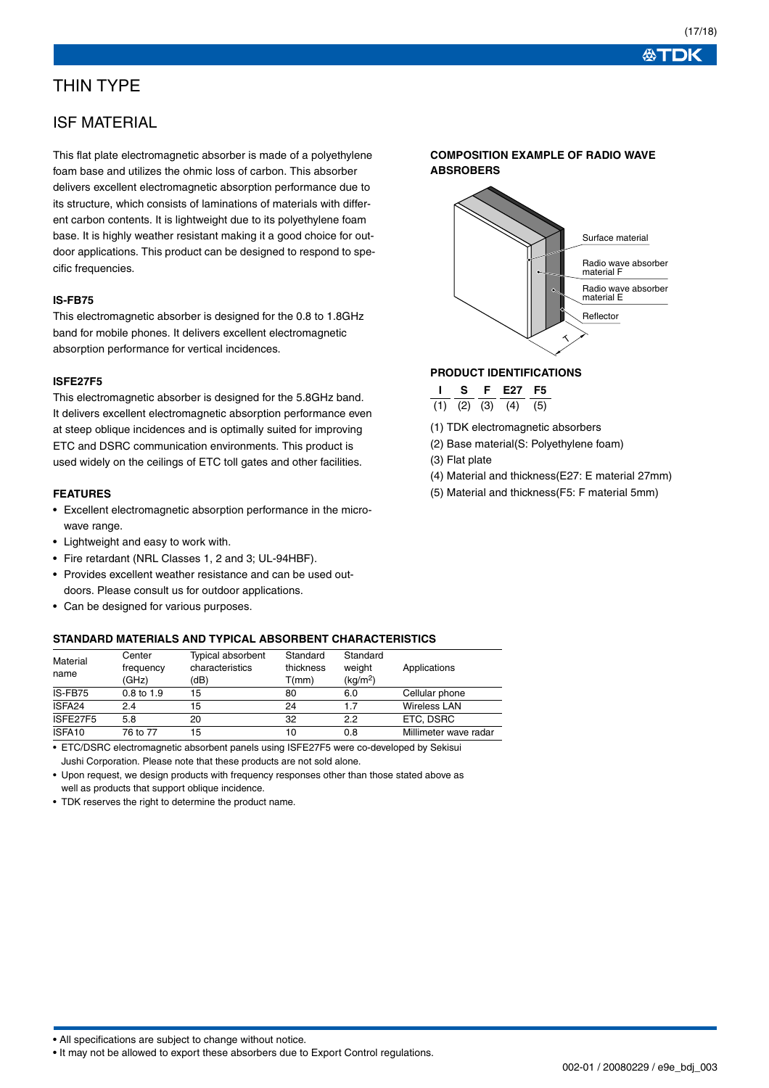## THIN TYPE

## ISF MATERIAL

This flat plate electromagnetic absorber is made of a polyethylene foam base and utilizes the ohmic loss of carbon. This absorber delivers excellent electromagnetic absorption performance due to its structure, which consists of laminations of materials with different carbon contents. It is lightweight due to its polyethylene foam base. It is highly weather resistant making it a good choice for outdoor applications. This product can be designed to respond to specific frequencies.

### **IS-FB75**

This electromagnetic absorber is designed for the 0.8 to 1.8GHz band for mobile phones. It delivers excellent electromagnetic absorption performance for vertical incidences.

#### **ISFE27F5**

This electromagnetic absorber is designed for the 5.8GHz band. It delivers excellent electromagnetic absorption performance even at steep oblique incidences and is optimally suited for improving ETC and DSRC communication environments. This product is used widely on the ceilings of ETC toll gates and other facilities.

### **FEATURES**

- Excellent electromagnetic absorption performance in the microwave range.
- Lightweight and easy to work with.
- Fire retardant (NRL Classes 1, 2 and 3; UL-94HBF).
- Provides excellent weather resistance and can be used outdoors. Please consult us for outdoor applications.
- Can be designed for various purposes.

#### **STANDARD MATERIALS AND TYPICAL ABSORBENT CHARACTERISTICS**

| Material<br>name | Center<br>frequency<br>(GHz) | <b>Typical absorbent</b><br>characteristics<br>(dB) | Standard<br>thickness<br>T(mm) | Standard<br>weight<br>(kg/m <sup>2</sup> ) | Applications          |
|------------------|------------------------------|-----------------------------------------------------|--------------------------------|--------------------------------------------|-----------------------|
| IS-FB75          | $0.8$ to $1.9$               | 15                                                  | 80                             | 6.0                                        | Cellular phone        |
| ISFA24           | 2.4                          | 15                                                  | 24                             | 1.7                                        | <b>Wireless LAN</b>   |
| ISFE27F5         | 5.8                          | 20                                                  | 32                             | 2.2                                        | ETC. DSRC             |
| ISFA10           | 76 to 77                     | 15                                                  | 10                             | 0.8                                        | Millimeter wave radar |

• ETC/DSRC electromagnetic absorbent panels using ISFE27F5 were co-developed by Sekisui Jushi Corporation. Please note that these products are not sold alone.

• Upon request, we design products with frequency responses other than those stated above as well as products that support oblique incidence.

• TDK reserves the right to determine the product name.





### **PRODUCT IDENTIFICATIONS**

|     |     | -27 | $-5$ |
|-----|-----|-----|------|
| (2) | (3) |     | ה י  |

(1) TDK electromagnetic absorbers

(2) Base material(S: Polyethylene foam)

(3) Flat plate

- (4) Material and thickness(E27: E material 27mm)
- (5) Material and thickness(F5: F material 5mm)

<sup>•</sup> It may not be allowed to export these absorbers due to Export Control regulations.